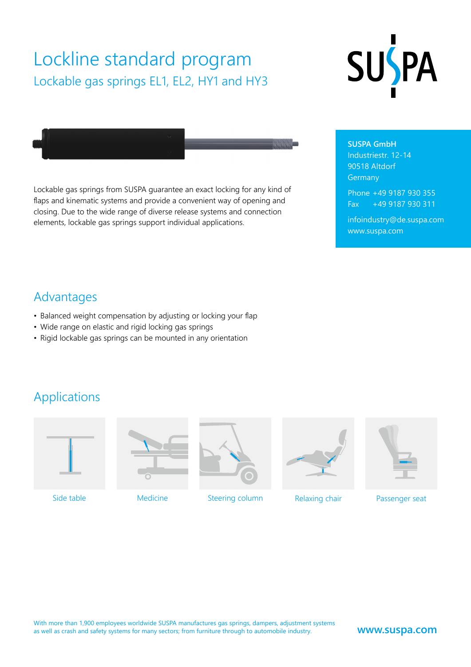# Lockline standard program Lockable gas springs EL1, EL2, HY1 and HY3





Lockable gas springs from SUSPA guarantee an exact locking for any kind of flaps and kinematic systems and provide a convenient way of opening and closing. Due to the wide range of diverse release systems and connection elements, lockable gas springs support individual applications.

**SUSPA GmbH** Industriestr. 12-14 90518 Altdorf Germany

Phone +49 9187 930 355 Fax +49 9187 930 311

infoindustry@de.suspa.com www.suspa.com

### Advantages

- Balanced weight compensation by adjusting or locking your flap
- Wide range on elastic and rigid locking gas springs
- Rigid lockable gas springs can be mounted in any orientation

### Applications







Side table **Medicine** Medicine Constanting column Relaxing chair





Passenger seat

#### **www.suspa.com**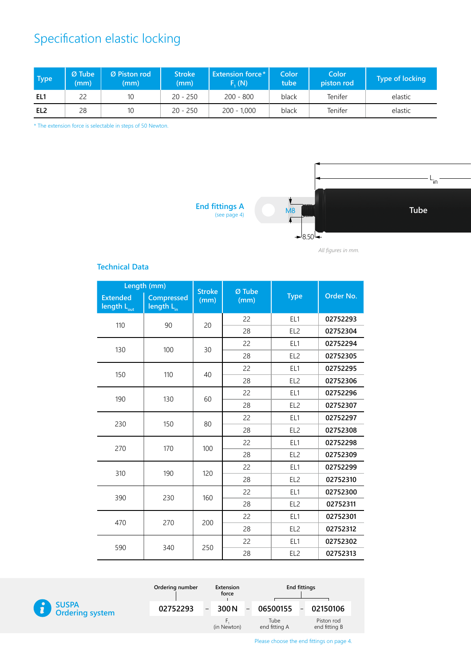# Specification elastic locking

| <b>Type</b>     | l Ø Tube i<br>(mm) | Ø Piston rod<br>(mm) | <b>Stroke</b><br>(mm) | <b>Extension force*</b><br>F. (N) | Color ˈ<br>tube | Color<br>piston rod | Type of locking |
|-----------------|--------------------|----------------------|-----------------------|-----------------------------------|-----------------|---------------------|-----------------|
| EL1             | 22                 | 10 <sup>°</sup>      | $20 - 250$            | $200 - 800$                       | black           | Tenifer             | elastic         |
| EL <sub>2</sub> | 28                 | 10                   | $20 - 250$            | $200 - 1,000$                     | black           | Tenifer             | elastic         |

\* The extension force is selectable in steps of 50 Newton.



*All figures in mm.*

#### **Technical Data**

| Length (mm)                                |                                      | <b>Stroke</b> | $Q$ Tube |                 |           |
|--------------------------------------------|--------------------------------------|---------------|----------|-----------------|-----------|
| <b>Extended</b><br>length L <sub>out</sub> | <b>Compressed</b><br>length $L_{in}$ | (mm)          | (mm)     | <b>Type</b>     | Order No. |
| 110                                        | 90                                   | 20            | 22       | EL1             | 02752293  |
|                                            |                                      |               | 28       | EL <sub>2</sub> | 02752304  |
| 130                                        | 100                                  | 30            | 22       | EL1             | 02752294  |
|                                            |                                      |               | 28       | EL <sub>2</sub> | 02752305  |
| 150                                        | 110                                  | 40            | 22       | EL1             | 02752295  |
|                                            |                                      |               | 28       | EL <sub>2</sub> | 02752306  |
| 190                                        | 130                                  | 60            | 22       | EL1             | 02752296  |
|                                            |                                      |               | 28       | EL <sub>2</sub> | 02752307  |
| 230                                        | 150                                  | 80            | 22       | EL <sub>1</sub> | 02752297  |
|                                            |                                      |               | 28       | EL <sub>2</sub> | 02752308  |
| 270                                        | 170                                  | 100           | 22       | EL1             | 02752298  |
|                                            |                                      |               | 28       | EL <sub>2</sub> | 02752309  |
|                                            |                                      |               | 22       | EL1             | 02752299  |
| 310                                        | 190                                  | 120           | 28       | EL <sub>2</sub> | 02752310  |
| 390                                        | 230                                  | 160           | 22       | EL1             | 02752300  |
|                                            |                                      |               | 28       | EL <sub>2</sub> | 02752311  |
| 470                                        | 270                                  | 200           | 22       | EL <sub>1</sub> | 02752301  |
|                                            |                                      |               | 28       | EL <sub>2</sub> | 02752312  |
|                                            | 340                                  |               | 22       | EL1             | 02752302  |
| 590                                        |                                      | 250           | 28       | EL <sub>2</sub> | 02752313  |



| Ordering number |                         | Extension<br>force | <b>End fittings</b>   |  |                             |
|-----------------|-------------------------|--------------------|-----------------------|--|-----------------------------|
| 02752293        | 300 N<br>$\blacksquare$ |                    | $06500155 -$          |  | 02150106                    |
|                 |                         | (in Newton)        | Tube<br>end fitting A |  | Piston rod<br>end fitting B |

Please choose the end fittings on page 4.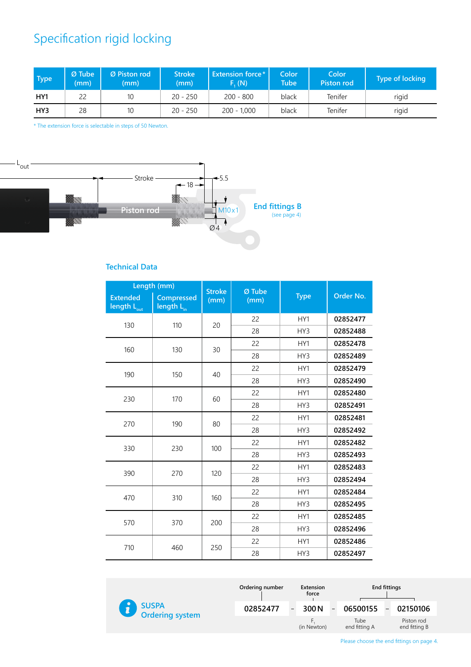# Specification rigid locking

| <b>Type</b>     | $Ø$ Tube<br>(mm) | Ø Piston rod<br>(mm) | <b>Stroke</b><br>(mm) | <b>Extension force*</b><br>F. (N) | Color <sup>1</sup><br>Tube <sup>1</sup> | Color<br><b>Piston rod</b> | Type of locking |
|-----------------|------------------|----------------------|-----------------------|-----------------------------------|-----------------------------------------|----------------------------|-----------------|
| HY <sub>1</sub> | 22               | 10                   | $20 - 250$            | $200 - 800$                       | black                                   | Tenifer                    | rigid           |
| HY3             | 28               | 10                   | $20 - 250$            | 200 - 1,000                       | black                                   | Tenifer                    | rigid           |

\* The extension force is selectable in steps of 50 Newton.



#### **Technical Data**

| Length (mm)                                |                                             | <b>Stroke</b> | Ø Tube |             |           |          |
|--------------------------------------------|---------------------------------------------|---------------|--------|-------------|-----------|----------|
| <b>Extended</b><br>length L <sub>out</sub> | <b>Compressed</b><br>length L <sub>in</sub> | (mm)          | (mm)   | <b>Type</b> | Order No. |          |
| 130                                        | 110                                         | 20            | 22     | HY1         | 02852477  |          |
|                                            |                                             |               | 28     | HY3         | 02852488  |          |
| 160                                        | 130                                         | 30            | 22     | HY1         | 02852478  |          |
|                                            |                                             |               | 28     | HY3         | 02852489  |          |
| 190                                        | 150                                         | 40            | 22     | HY1         | 02852479  |          |
|                                            |                                             |               | 28     | HY3         | 02852490  |          |
|                                            |                                             | 60            | 22     | HY1         | 02852480  |          |
| 230                                        |                                             | 170           |        | 28          | HY3       | 02852491 |
| 270                                        | 190                                         | 80            | 22     | HY1         | 02852481  |          |
|                                            |                                             |               |        | 28          | HY3       | 02852492 |
| 330                                        | 230                                         | 100           | 22     | HY1         | 02852482  |          |
|                                            |                                             |               | 28     | HY3         | 02852493  |          |
|                                            |                                             |               | 22     | HY1         | 02852483  |          |
| 390                                        | 270                                         | 120           | 28     | HY3         | 02852494  |          |
|                                            |                                             |               | 22     | HY1         | 02852484  |          |
| 470                                        | 310                                         | 160           | 28     | HY3         | 02852495  |          |
|                                            |                                             |               | 22     | HY1         | 02852485  |          |
| 570                                        | 370                                         | 200           | 28     | HY3         | 02852496  |          |
| 710                                        |                                             |               | 22     | HY1         | 02852486  |          |
|                                            | 460                                         | 250           | 28     | HY3         | 02852497  |          |



Please choose the end fittings on page 4.